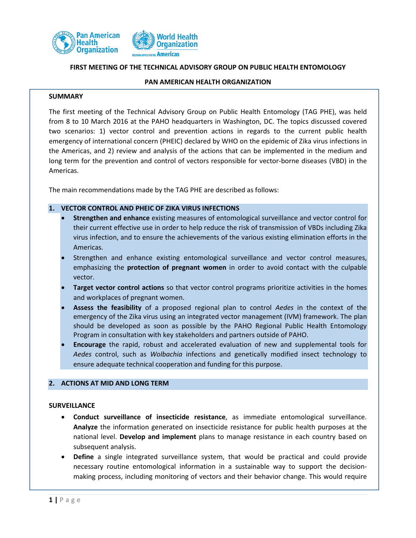



### **FIRST MEETING OF THE TECHNICAL ADVISORY GROUP ON PUBLIC HEALTH ENTOMOLOGY**

#### **PAN AMERICAN HEALTH ORGANIZATION**

#### **SUMMARY**

The first meeting of the Technical Advisory Group on Public Health Entomology (TAG PHE), was held from 8 to 10 March 2016 at the PAHO headquarters in Washington, DC. The topics discussed covered two scenarios: 1) vector control and prevention actions in regards to the current public health emergency of international concern (PHEIC) declared by WHO on the epidemic of Zika virus infections in the Americas, and 2) review and analysis of the actions that can be implemented in the medium and long term for the prevention and control of vectors responsible for vector-borne diseases (VBD) in the Americas.

The main recommendations made by the TAG PHE are described as follows:

# **1. VECTOR CONTROL AND PHEIC OF ZIKA VIRUS INFECTIONS**

- **Strengthen and enhance** existing measures of entomological surveillance and vector control for their current effective use in order to help reduce the risk of transmission of VBDs including Zika virus infection, and to ensure the achievements of the various existing elimination efforts in the Americas.
- Strengthen and enhance existing entomological surveillance and vector control measures, emphasizing the **protection of pregnant women** in order to avoid contact with the culpable vector.
- **Target vector control actions** so that vector control programs prioritize activities in the homes and workplaces of pregnant women.
- **Assess the feasibility** of a proposed regional plan to control *Aedes* in the context of the emergency of the Zika virus using an integrated vector management (IVM) framework. The plan should be developed as soon as possible by the PAHO Regional Public Health Entomology Program in consultation with key stakeholders and partners outside of PAHO.
- **Encourage** the rapid, robust and accelerated evaluation of new and supplemental tools for *Aedes* control, such as *Wolbachia* infections and genetically modified insect technology to ensure adequate technical cooperation and funding for this purpose.

#### **2. ACTIONS AT MID AND LONG TERM**

#### **SURVEILLANCE**

- **Conduct surveillance of insecticide resistance**, as immediate entomological surveillance. **Analyze** the information generated on insecticide resistance for public health purposes at the national level. **Develop and implement** plans to manage resistance in each country based on subsequent analysis.
- **Define** a single integrated surveillance system, that would be practical and could provide necessary routine entomological information in a sustainable way to support the decisionmaking process, including monitoring of vectors and their behavior change. This would require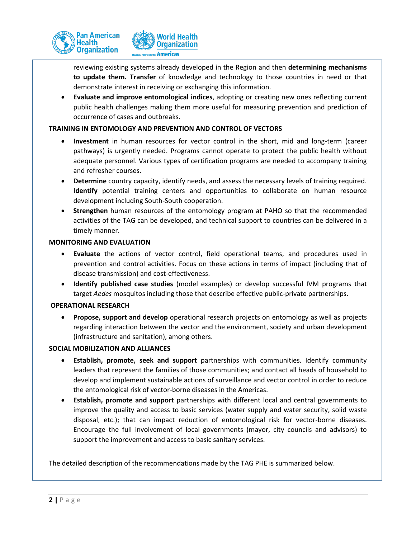

reviewing existing systems already developed in the Region and then **determining mechanisms to update them. Transfer** of knowledge and technology to those countries in need or that demonstrate interest in receiving or exchanging this information.

 **Evaluate and improve entomological indices**, adopting or creating new ones reflecting current public health challenges making them more useful for measuring prevention and prediction of occurrence of cases and outbreaks.

# **TRAINING IN ENTOMOLOGY AND PREVENTION AND CONTROL OF VECTORS**

- **Investment** in human resources for vector control in the short, mid and long-term (career pathways) is urgently needed. Programs cannot operate to protect the public health without adequate personnel. Various types of certification programs are needed to accompany training and refresher courses.
- **Determine** country capacity, identify needs, and assess the necessary levels of training required. **Identify** potential training centers and opportunities to collaborate on human resource development including South-South cooperation.
- **Strengthen** human resources of the entomology program at PAHO so that the recommended activities of the TAG can be developed, and technical support to countries can be delivered in a timely manner.

# **MONITORING AND EVALUATION**

- **Evaluate** the actions of vector control, field operational teams, and procedures used in prevention and control activities. Focus on these actions in terms of impact (including that of disease transmission) and cost-effectiveness.
- **Identify published case studies** (model examples) or develop successful IVM programs that target *Aedes* mosquitos including those that describe effective public-private partnerships.

## **OPERATIONAL RESEARCH**

 **Propose, support and develop** operational research projects on entomology as well as projects regarding interaction between the vector and the environment, society and urban development (infrastructure and sanitation), among others.

## **SOCIAL MOBILIZATION AND ALLIANCES**

- **Establish, promote, seek and support** partnerships with communities. Identify community leaders that represent the families of those communities; and contact all heads of household to develop and implement sustainable actions of surveillance and vector control in order to reduce the entomological risk of vector-borne diseases in the Americas.
- **Establish, promote and support** partnerships with different local and central governments to improve the quality and access to basic services (water supply and water security, solid waste disposal, etc.); that can impact reduction of entomological risk for vector-borne diseases. Encourage the full involvement of local governments (mayor, city councils and advisors) to support the improvement and access to basic sanitary services.

The detailed description of the recommendations made by the TAG PHE is summarized below.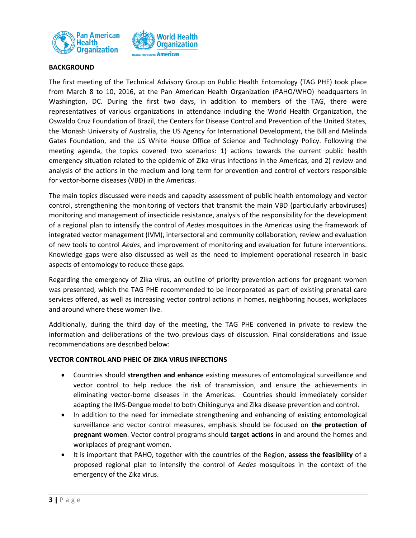



## **BACKGROUND**

The first meeting of the Technical Advisory Group on Public Health Entomology (TAG PHE) took place from March 8 to 10, 2016, at the Pan American Health Organization (PAHO/WHO) headquarters in Washington, DC. During the first two days, in addition to members of the TAG, there were representatives of various organizations in attendance including the World Health Organization, the Oswaldo Cruz Foundation of Brazil, the Centers for Disease Control and Prevention of the United States, the Monash University of Australia, the US Agency for International Development, the Bill and Melinda Gates Foundation, and the US White House Office of Science and Technology Policy. Following the meeting agenda, the topics covered two scenarios: 1) actions towards the current public health emergency situation related to the epidemic of Zika virus infections in the Americas, and 2) review and analysis of the actions in the medium and long term for prevention and control of vectors responsible for vector-borne diseases (VBD) in the Americas.

The main topics discussed were needs and capacity assessment of public health entomology and vector control, strengthening the monitoring of vectors that transmit the main VBD (particularly arboviruses) monitoring and management of insecticide resistance, analysis of the responsibility for the development of a regional plan to intensify the control of *Aedes* mosquitoes in the Americas using the framework of integrated vector management (IVM), intersectoral and community collaboration, review and evaluation of new tools to control *Aedes*, and improvement of monitoring and evaluation for future interventions. Knowledge gaps were also discussed as well as the need to implement operational research in basic aspects of entomology to reduce these gaps.

Regarding the emergency of Zika virus, an outline of priority prevention actions for pregnant women was presented, which the TAG PHE recommended to be incorporated as part of existing prenatal care services offered, as well as increasing vector control actions in homes, neighboring houses, workplaces and around where these women live.

Additionally, during the third day of the meeting, the TAG PHE convened in private to review the information and deliberations of the two previous days of discussion. Final considerations and issue recommendations are described below:

## **VECTOR CONTROL AND PHEIC OF ZIKA VIRUS INFECTIONS**

- Countries should **strengthen and enhance** existing measures of entomological surveillance and vector control to help reduce the risk of transmission, and ensure the achievements in eliminating vector-borne diseases in the Americas. Countries should immediately consider adapting the IMS-Dengue model to both Chikingunya and Zika disease prevention and control.
- In addition to the need for immediate strengthening and enhancing of existing entomological surveillance and vector control measures, emphasis should be focused on **the protection of pregnant women**. Vector control programs should **target actions** in and around the homes and workplaces of pregnant women.
- It is important that PAHO, together with the countries of the Region, **assess the feasibility** of a proposed regional plan to intensify the control of *Aedes* mosquitoes in the context of the emergency of the Zika virus.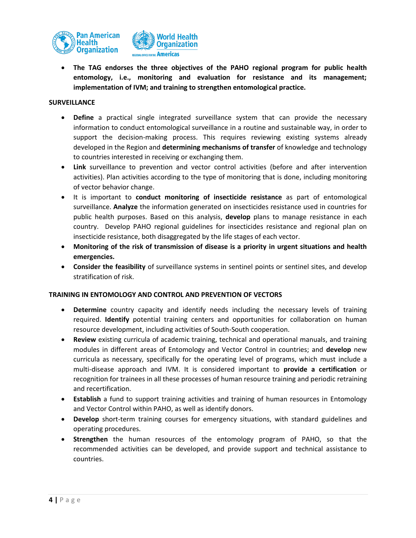



 **The TAG endorses the three objectives of the PAHO regional program for public health entomology, i.e., monitoring and evaluation for resistance and its management; implementation of IVM; and training to strengthen entomological practice.**

### **SURVEILLANCE**

- **Define** a practical single integrated surveillance system that can provide the necessary information to conduct entomological surveillance in a routine and sustainable way, in order to support the decision-making process. This requires reviewing existing systems already developed in the Region and **determining mechanisms of transfer** of knowledge and technology to countries interested in receiving or exchanging them.
- **Link** surveillance to prevention and vector control activities (before and after intervention activities). Plan activities according to the type of monitoring that is done, including monitoring of vector behavior change.
- It is important to **conduct monitoring of insecticide resistance** as part of entomological surveillance. **Analyze** the information generated on insecticides resistance used in countries for public health purposes. Based on this analysis, **develop** plans to manage resistance in each country. Develop PAHO regional guidelines for insecticides resistance and regional plan on insecticide resistance, both disaggregated by the life stages of each vector.
- **Monitoring of the risk of transmission of disease is a priority in urgent situations and health emergencies.**
- **Consider the feasibility** of surveillance systems in sentinel points or sentinel sites, and develop stratification of risk.

## **TRAINING IN ENTOMOLOGY AND CONTROL AND PREVENTION OF VECTORS**

- **Determine** country capacity and identify needs including the necessary levels of training required. **Identify** potential training centers and opportunities for collaboration on human resource development, including activities of South-South cooperation.
- **Review** existing curricula of academic training, technical and operational manuals, and training modules in different areas of Entomology and Vector Control in countries; and **develop** new curricula as necessary, specifically for the operating level of programs, which must include a multi-disease approach and IVM. It is considered important to **provide a certification** or recognition for trainees in all these processes of human resource training and periodic retraining and recertification.
- **Establish** a fund to support training activities and training of human resources in Entomology and Vector Control within PAHO, as well as identify donors.
- **Develop** short-term training courses for emergency situations, with standard guidelines and operating procedures.
- **Strengthen** the human resources of the entomology program of PAHO, so that the recommended activities can be developed, and provide support and technical assistance to countries.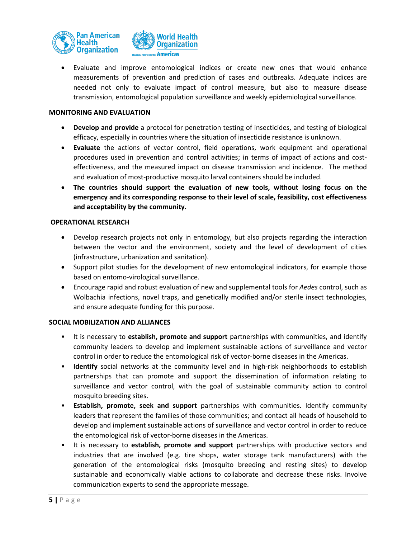



 Evaluate and improve entomological indices or create new ones that would enhance measurements of prevention and prediction of cases and outbreaks. Adequate indices are needed not only to evaluate impact of control measure, but also to measure disease transmission, entomological population surveillance and weekly epidemiological surveillance.

### **MONITORING AND EVALUATION**

- **Develop and provide** a protocol for penetration testing of insecticides, and testing of biological efficacy, especially in countries where the situation of insecticide resistance is unknown.
- **Evaluate** the actions of vector control, field operations, work equipment and operational procedures used in prevention and control activities; in terms of impact of actions and costeffectiveness, and the measured impact on disease transmission and incidence. The method and evaluation of most-productive mosquito larval containers should be included.
- **The countries should support the evaluation of new tools, without losing focus on the emergency and its corresponding response to their level of scale, feasibility, cost effectiveness and acceptability by the community.**

### **OPERATIONAL RESEARCH**

- Develop research projects not only in entomology, but also projects regarding the interaction between the vector and the environment, society and the level of development of cities (infrastructure, urbanization and sanitation).
- Support pilot studies for the development of new entomological indicators, for example those based on entomo-virological surveillance.
- Encourage rapid and robust evaluation of new and supplemental tools for *Aedes* control, such as Wolbachia infections, novel traps, and genetically modified and/or sterile insect technologies, and ensure adequate funding for this purpose.

### **SOCIAL MOBILIZATION AND ALLIANCES**

- It is necessary to **establish, promote and support** partnerships with communities, and identify community leaders to develop and implement sustainable actions of surveillance and vector control in order to reduce the entomological risk of vector-borne diseases in the Americas.
- **Identify** social networks at the community level and in high-risk neighborhoods to establish partnerships that can promote and support the dissemination of information relating to surveillance and vector control, with the goal of sustainable community action to control mosquito breeding sites.
- **Establish, promote, seek and support** partnerships with communities. Identify community leaders that represent the families of those communities; and contact all heads of household to develop and implement sustainable actions of surveillance and vector control in order to reduce the entomological risk of vector-borne diseases in the Americas.
- It is necessary to **establish, promote and support** partnerships with productive sectors and industries that are involved (e.g. tire shops, water storage tank manufacturers) with the generation of the entomological risks (mosquito breeding and resting sites) to develop sustainable and economically viable actions to collaborate and decrease these risks. Involve communication experts to send the appropriate message.